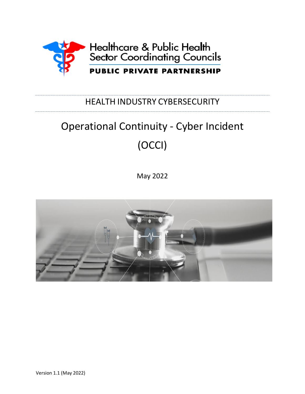

## HEALTH INDUSTRY CYBERSECURITY

# Operational Continuity - Cyber Incident (OCCI)

May 2022

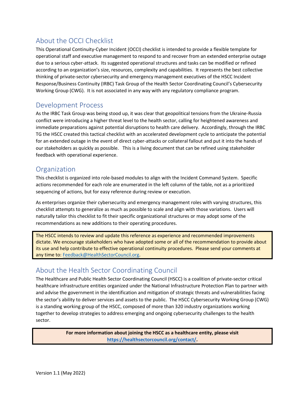## About the OCCI Checklist

This Operational Continuity-Cyber Incident (OCCI) checklist is intended to provide a flexible template for operational staff and executive management to respond to and recover from an extended enterprise outage due to a serious cyber-attack. Its suggested operational structures and tasks can be modified or refined according to an organization's size, resources, complexity and capabilities. It represents the best collective thinking of private-sector cybersecurity and emergency management executives of the HSCC Incident Response/Business Continuity (IRBC) Task Group of the Health Sector Coordinating Council's Cybersecurity Working Group (CWG). It is not associated in any way with any regulatory compliance program.

## Development Process

As the IRBC Task Group was being stood up, it was clear that geopolitical tensions from the Ukraine-Russia conflict were introducing a higher threat level to the health sector, calling for heightened awareness and immediate preparations against potential disruptions to health care delivery. Accordingly, through the IRBC TG the HSCC created this tactical checklist with an accelerated development cycle to anticipate the potential for an extended outage in the event of direct cyber-attacks or collateral fallout and put it into the hands of our stakeholders as quickly as possible. This is a living document that can be refined using stakeholder feedback with operational experience.

## **Organization**

This checklist is organized into role-based modules to align with the Incident Command System. Specific actions recommended for each role are enumerated in the left column of the table, not as a prioritized sequencing of actions, but for easy reference during review or execution.

As enterprises organize their cybersecurity and emergency management roles with varying structures, this checklist attempts to generalize as much as possible to scale and align with those variations. Users will naturally tailor this checklist to fit their specific organizational structures or may adopt some of the recommendations as new additions to their operating procedures.

The HSCC intends to review and update this reference as experience and recommended improvements dictate. We encourage stakeholders who have adopted some or all of the recommendation to provide about its use and help contribute to effective operational continuity procedures. Please send your comments at any time to: [Feedback@HealthSectorCouncil.org.](mailto:Feedback@HealthSectorCouncil.org)

## About the Health Sector Coordinating Council

The Healthcare and Public Health Sector Coordinating Council (HSCC) is a coalition of private-sector critical healthcare infrastructure entities organized under the National Infrastructure Protection Plan to partner with and advise the government in the identification and mitigation of strategic threats and vulnerabilities facing the sector's ability to deliver services and assets to the public. The HSCC Cybersecurity Working Group (CWG) is a standing working group of the HSCC, composed of more than 320 industry organizations working together to develop strategies to address emerging and ongoing cybersecurity challenges to the health sector.

> **For more information about joining the HSCC as a healthcare entity, please visit [https://healthsectorcouncil.org/contact/.](https://healthsectorcouncil.org/contact/)**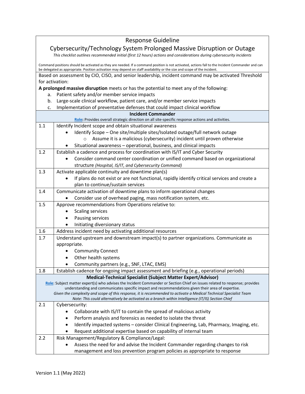#### Response Guideline Cybersecurity/Technology System Prolonged Massive Disruption or Outage *This checklist outlines recommended initial (first 12 hours) actions and considerations during cybersecurity incidents* Command positions should be activated as they are needed. If a command position is not activated, actions fall to the Incident Commander and can be delegated as appropriate. Position activation may depend on staff availability or the size and scope of the incident. Based on assessment by CIO, CISO, and senior leadership, incident command may be activated Threshold for activation: **A prolonged massive disruption** meets or has the potential to meet any of the following: a. Patient safety and/or member service impacts b. Large-scale clinical workflow, patient care, and/or member service impacts c. Implementation of preventative defenses that could impact clinical workflow **Incident Commander [Role:](https://emsa.ca.gov/wp-content/uploads/sites/71/2017/07/Incident-Commander_2.pdf)** Provides overall strategic direction on all site-specific response actions and activities. 1.1 | Identify Incident scope and obtain situational awareness • Identify Scope – One site/multiple sites/Isolated outage/full network outage o Assume it is a malicious (cybersecurity) incident until proven otherwise • Situational awareness – operational, business, and clinical impacts 1.2 Establish a cadence and process for coordination with IS/IT and Cyber Security • Consider command center coordination or unified command based on organizational structure *(Hospital, IS/IT, and Cybersecurity Command)* 1.3  $\vert$  Activate applicable continuity and downtime plan(s) • If plans do not exist or are not functional, rapidly identify critical services and create a plan to continue/sustain services 1.4 Communicate activation of downtime plans to inform operational changes • Consider use of overhead paging, mass notification system, etc. 1.5 Approve recommendations from Operations relative to: • Scaling services • Pausing services • Initiating diversionary status 1.6 | Address incident need by activating additional resources 1.7 Understand upstream and downstream impact(s) to partner organizations. Communicate as appropriate. • Community Connect • Other health systems • Community partners (e.g., SNF, LTAC, EMS) 1.8 Establish cadence for ongoing impact assessment and briefing (e.g., operational periods) **Medical-Technical Specialist (Subject Matter Expert/Advisor) [Role](https://emsa.ca.gov/wp-content/uploads/sites/71/2017/07/All_Med-Tech_2.pdf)**: Subject matter expert(s) who advises the Incident Commander or Section Chief on issues related to response; provides understanding and communicates specific impact and recommendations given their area of expertise. *Given the complexity and scope of this response, it is recommended to activate a Medical Technical Specialist Team Note: This could alternatively be activated as a branch within Intelligence (IT/IS) Section Chief* 2.1 | Cybersecurity: • Collaborate with IS/IT to contain the spread of malicious activity Perform analysis and forensics as needed to isolate the threat • Identify impacted systems – consider Clinical Engineering, Lab, Pharmacy, Imaging, etc. • Request additional expertise based on capability of internal team 2.2 Risk Management/Regulatory & Compliance/Legal: • Assess the need for and advise the Incident Commander regarding changes to risk management and loss prevention program policies as appropriate to response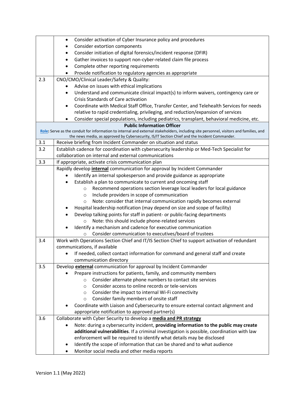|     | Consider activation of Cyber Insurance policy and procedures<br>$\bullet$                                                              |  |  |
|-----|----------------------------------------------------------------------------------------------------------------------------------------|--|--|
|     | Consider extortion components<br>$\bullet$                                                                                             |  |  |
|     | Consider initiation of digital forensics/incident response (DFIR)<br>٠                                                                 |  |  |
|     | Gather invoices to support non-cyber-related claim file process<br>$\bullet$                                                           |  |  |
|     | Complete other reporting requirements<br>٠                                                                                             |  |  |
|     | Provide notification to regulatory agencies as appropriate<br>$\bullet$                                                                |  |  |
| 2.3 | CNO/CMO/Clinical Leader/Safety & Quality:                                                                                              |  |  |
|     | Advise on issues with ethical implications                                                                                             |  |  |
|     | Understand and communicate clinical impact(s) to inform waivers, contingency care or<br>$\bullet$                                      |  |  |
|     | Crisis Standards of Care activation                                                                                                    |  |  |
|     | Coordinate with Medical Staff Office, Transfer Center, and Telehealth Services for needs<br>$\bullet$                                  |  |  |
|     | relative to rapid credentialing, privileging, and reduction/expansion of services                                                      |  |  |
|     | Consider special populations, including pediatrics, transplant, behavioral medicine, etc.<br>٠                                         |  |  |
|     | <b>Public Information Officer</b>                                                                                                      |  |  |
|     | Role: Serve as the conduit for information to internal and external stakeholders, including site personnel, visitors and families, and |  |  |
|     | the news media, as approved by Cybersecurity, IS/IT Section Chief and the Incident Commander.                                          |  |  |
| 3.1 | Receive briefing from Incident Commander on situation and status                                                                       |  |  |
| 3.2 | Establish cadence for coordination with cybersecurity leadership or Med-Tech Specialist for                                            |  |  |
|     | collaboration on internal and external communications                                                                                  |  |  |
| 3.3 | If appropriate, activate crisis communication plan                                                                                     |  |  |
|     | Rapidly develop internal communication for approval by Incident Commander                                                              |  |  |
|     | Identify an internal spokesperson and provide guidance as appropriate                                                                  |  |  |
|     | Establish a plan to communicate to current and oncoming staff                                                                          |  |  |
|     | Recommend operations section leverage local leaders for local guidance<br>$\circ$                                                      |  |  |
|     | Include providers in scope of communication<br>$\circ$                                                                                 |  |  |
|     | Note: consider that internal communication rapidly becomes external<br>$\circ$                                                         |  |  |
|     | Hospital leadership notification (may depend on size and scope of facility)                                                            |  |  |
|     | Develop talking points for staff in patient- or public-facing departments                                                              |  |  |
|     | Note: this should include phone-related services<br>$\circ$                                                                            |  |  |
|     | Identify a mechanism and cadence for executive communication                                                                           |  |  |
|     | Consider communication to executives/board of trustees<br>$\circ$                                                                      |  |  |
| 3.4 | Work with Operations Section Chief and IT/IS Section Chief to support activation of redundant<br>communications, if available          |  |  |
|     | If needed, collect contact information for command and general staff and create                                                        |  |  |
|     |                                                                                                                                        |  |  |
| 3.5 | communication directory<br>Develop external communication for approval by Incident Commander                                           |  |  |
|     | Prepare instructions for patients, family, and community members                                                                       |  |  |
|     | Consider alternate phone numbers to contact site services<br>$\circ$                                                                   |  |  |
|     | Consider access to online records or tele-services<br>$\circ$                                                                          |  |  |
|     | Consider the impact to internal Wi-Fi connectivity<br>$\circ$                                                                          |  |  |
|     | Consider family members of onsite staff<br>$\circ$                                                                                     |  |  |
|     | Coordinate with Liaison and Cybersecurity to ensure external contact alignment and                                                     |  |  |
|     | appropriate notification to approved partner(s)                                                                                        |  |  |
| 3.6 | Collaborate with Cyber Security to develop a media and PR strategy                                                                     |  |  |
|     | Note: during a cybersecurity incident, providing information to the public may create                                                  |  |  |
|     | additional vulnerabilities. If a criminal investigation is possible, coordination with law                                             |  |  |
|     | enforcement will be required to identify what details may be disclosed                                                                 |  |  |
|     | Identify the scope of information that can be shared and to what audience<br>٠                                                         |  |  |
|     | Monitor social media and other media reports                                                                                           |  |  |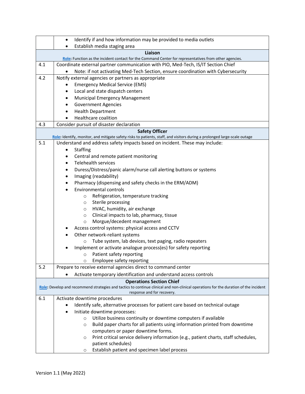|     | Identify if and how information may be provided to media outlets<br>$\bullet$                                                                                      |
|-----|--------------------------------------------------------------------------------------------------------------------------------------------------------------------|
|     | Establish media staging area<br>$\bullet$                                                                                                                          |
|     | Liaison                                                                                                                                                            |
|     | Role: Function as the incident contact for the Command Center for representatives from other agencies.                                                             |
| 4.1 | Coordinate external partner communication with PIO, Med-Tech, IS/IT Section Chief                                                                                  |
|     | Note: if not activating Med-Tech Section, ensure coordination with Cybersecurity                                                                                   |
| 4.2 | Notify external agencies or partners as appropriate                                                                                                                |
|     | <b>Emergency Medical Service (EMS)</b><br>$\bullet$                                                                                                                |
|     | Local and state dispatch centers<br>$\bullet$                                                                                                                      |
|     | Municipal Emergency Management<br>$\bullet$                                                                                                                        |
|     | <b>Government Agencies</b><br>$\bullet$                                                                                                                            |
|     | <b>Health Department</b><br>$\bullet$                                                                                                                              |
|     | Healthcare coalition<br>$\bullet$                                                                                                                                  |
| 4.3 | Consider pursuit of disaster declaration                                                                                                                           |
|     | <b>Safety Officer</b>                                                                                                                                              |
|     | Role: Identify, monitor, and mitigate safety risks to patients, staff, and visitors during a prolonged large-scale outage                                          |
| 5.1 | Understand and address safety impacts based on incident. These may include:                                                                                        |
|     | Staffing<br>٠                                                                                                                                                      |
|     | Central and remote patient monitoring<br>$\bullet$                                                                                                                 |
|     | <b>Telehealth services</b><br>$\bullet$                                                                                                                            |
|     | Duress/Distress/panic alarm/nurse call alerting buttons or systems<br>$\bullet$                                                                                    |
|     | Imaging (readability)<br>$\bullet$                                                                                                                                 |
|     | Pharmacy (dispensing and safety checks in the ERM/ADM)<br>$\bullet$                                                                                                |
|     | <b>Environmental controls</b><br>$\bullet$                                                                                                                         |
|     | Refrigeration, temperature tracking<br>$\circ$                                                                                                                     |
|     | Sterile processing<br>$\circ$                                                                                                                                      |
|     | HVAC, humidity, air exchange<br>$\circ$                                                                                                                            |
|     | Clinical impacts to lab, pharmacy, tissue<br>$\circ$                                                                                                               |
|     | Morgue/decedent management<br>$\circ$                                                                                                                              |
|     | Access control systems: physical access and CCTV                                                                                                                   |
|     | Other network-reliant systems<br>$\bullet$                                                                                                                         |
|     | Tube system, lab devices, text paging, radio repeaters<br>$\circ$                                                                                                  |
|     | Implement or activate analogue process(es) for safety reporting<br>٠                                                                                               |
|     | Patient safety reporting<br>$\circ$                                                                                                                                |
|     | Employee safety reporting<br>O                                                                                                                                     |
| 5.2 | Prepare to receive external agencies direct to command center                                                                                                      |
|     | Activate temporary identification and understand access controls                                                                                                   |
|     | <b>Operations Section Chief</b>                                                                                                                                    |
|     | Role: Develop and recommend strategies and tactics to continue clinical and non-clinical operations for the duration of the incident<br>response and for recovery. |
| 6.1 | Activate downtime procedures                                                                                                                                       |
|     | Identify safe, alternative processes for patient care based on technical outage                                                                                    |
|     | Initiate downtime processes:<br>٠                                                                                                                                  |
|     | Utilize business continuity or downtime computers if available<br>$\circ$                                                                                          |
|     | Build paper charts for all patients using information printed from downtime<br>$\circ$                                                                             |
|     | computers or paper downtime forms.                                                                                                                                 |
|     | Print critical service delivery information (e.g., patient charts, staff schedules,<br>O                                                                           |
|     | patient schedules)                                                                                                                                                 |
|     | Establish patient and specimen label process<br>$\circ$                                                                                                            |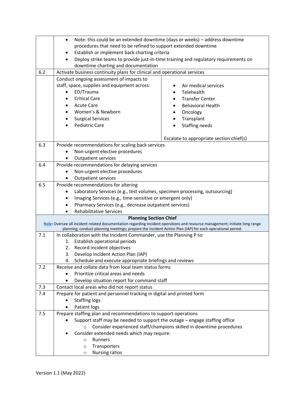|     | $\bullet$                                                                                                                   |                                                                                     |  |
|-----|-----------------------------------------------------------------------------------------------------------------------------|-------------------------------------------------------------------------------------|--|
|     | Note: this could be an extended downtime (days or weeks) - address downtime                                                 |                                                                                     |  |
|     | procedures that need to be refined to support extended downtime                                                             |                                                                                     |  |
|     | Establish or implement back charting criteria                                                                               |                                                                                     |  |
|     | $\bullet$                                                                                                                   | Deploy strike teams to provide just-in-time training and regulatory requirements on |  |
|     | downtime charting and documentation                                                                                         |                                                                                     |  |
| 6.2 | Activate business continuity plans for clinical and operational services                                                    |                                                                                     |  |
|     | Conduct ongoing assessment of impacts to                                                                                    |                                                                                     |  |
|     | staff, space, supplies and equipment across:                                                                                | Air medical services                                                                |  |
|     | ED/Trauma                                                                                                                   | Telehealth                                                                          |  |
|     | <b>Critical Care</b>                                                                                                        | <b>Transfer Center</b>                                                              |  |
|     | <b>Acute Care</b><br>$\bullet$                                                                                              | <b>Behavioral Health</b>                                                            |  |
|     | Women's & Newborn                                                                                                           | Oncology                                                                            |  |
|     | <b>Surgical Services</b><br>$\bullet$                                                                                       | Transplant<br>$\bullet$                                                             |  |
|     | <b>Pediatric Care</b>                                                                                                       | Staffing needs                                                                      |  |
|     |                                                                                                                             |                                                                                     |  |
|     |                                                                                                                             | Escalate to appropriate section chief(s)                                            |  |
| 6.3 | Provide recommendations for scaling back services                                                                           |                                                                                     |  |
|     | Non-urgent elective procedures                                                                                              |                                                                                     |  |
|     | Outpatient services                                                                                                         |                                                                                     |  |
| 6.4 | Provide recommendations for delaying services                                                                               |                                                                                     |  |
|     | Non-urgent elective procedures                                                                                              |                                                                                     |  |
|     | <b>Outpatient services</b><br>$\bullet$                                                                                     |                                                                                     |  |
| 6.5 | Provide recommendations for altering                                                                                        |                                                                                     |  |
|     | Laboratory Services (e.g., test volumes, specimen processing, outsourcing)                                                  |                                                                                     |  |
|     | Imaging Services (e.g., time-sensitive or emergent only)<br>٠                                                               |                                                                                     |  |
|     | Pharmacy Services (e.g., decrease outpatient services)<br>$\bullet$                                                         |                                                                                     |  |
|     | Rehabilitative Services                                                                                                     |                                                                                     |  |
|     | <b>Planning Section Chief</b>                                                                                               |                                                                                     |  |
|     | Role: Oversee all incident related documentation regarding incident operations and resource management; initiate long range |                                                                                     |  |
| 7.1 | planning; conduct planning meetings; prepare the Incident Action Plan (IAP) for each operational period.                    |                                                                                     |  |
|     | In collaboration with the Incident Commander, use the Planning P to:                                                        |                                                                                     |  |
|     | 1. Establish operational periods<br>Record incident objectives                                                              |                                                                                     |  |
|     | 2.<br>Develop Incident Action Plan (IAP)                                                                                    |                                                                                     |  |
|     | 3.                                                                                                                          |                                                                                     |  |
| 7.2 | Schedule and execute appropriate briefings and reviews<br>4.<br>Receive and collate data from local team status forms       |                                                                                     |  |
|     | Prioritize critical areas and needs                                                                                         |                                                                                     |  |
|     |                                                                                                                             |                                                                                     |  |
| 7.3 | Develop situation report for command staff                                                                                  |                                                                                     |  |
|     | Contact local areas who did not report status<br>Prepare for patient and personnel tracking in digital and printed form     |                                                                                     |  |
| 7.4 |                                                                                                                             |                                                                                     |  |
|     | <b>Staffing logs</b>                                                                                                        |                                                                                     |  |
|     | Patient logs                                                                                                                |                                                                                     |  |
| 7.5 | Prepare staffing plan and recommendations to support operations                                                             |                                                                                     |  |
|     | Support staff may be needed to support the outage - engage staffing office                                                  |                                                                                     |  |
|     | $\circ$                                                                                                                     | Consider experienced staff/champions skilled in downtime procedures                 |  |
|     | Consider extended needs which may require:                                                                                  |                                                                                     |  |
|     | Runners<br>$\circ$                                                                                                          |                                                                                     |  |
|     | Transporters<br>$\circ$                                                                                                     |                                                                                     |  |
|     | <b>Nursing ratios</b><br>$\circ$                                                                                            |                                                                                     |  |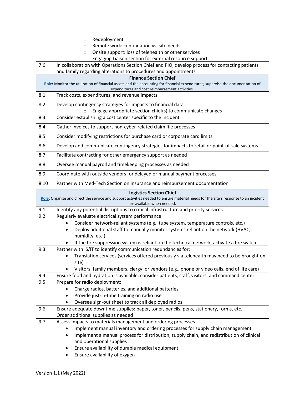|                                                                                                                                                                                                     | Redeployment<br>$\circ$                                                                                                                                                            |  |
|-----------------------------------------------------------------------------------------------------------------------------------------------------------------------------------------------------|------------------------------------------------------------------------------------------------------------------------------------------------------------------------------------|--|
|                                                                                                                                                                                                     | Remote work: continuation vs. site needs<br>$\circ$                                                                                                                                |  |
|                                                                                                                                                                                                     | Onsite support: loss of telehealth or other services<br>$\circ$                                                                                                                    |  |
|                                                                                                                                                                                                     | Engaging Liaison section for external resource support<br>$\circ$                                                                                                                  |  |
| 7.6                                                                                                                                                                                                 | In collaboration with Operations Section Chief and PIO, develop process for contacting patients                                                                                    |  |
|                                                                                                                                                                                                     | and family regarding alterations to procedures and appointments                                                                                                                    |  |
|                                                                                                                                                                                                     | <b>Finance Section Chief</b>                                                                                                                                                       |  |
|                                                                                                                                                                                                     | Role: Monitor the utilization of financial assets and the accounting for financial expenditures; supervise the documentation of<br>expenditures and cost reimbursement activities. |  |
| 8.1                                                                                                                                                                                                 | Track costs, expenditures, and revenue impacts                                                                                                                                     |  |
| 8.2                                                                                                                                                                                                 | Develop contingency strategies for impacts to financial data                                                                                                                       |  |
|                                                                                                                                                                                                     | Engage appropriate section chief(s) to communicate changes<br>$\circ$                                                                                                              |  |
| 8.3                                                                                                                                                                                                 | Consider establishing a cost center specific to the incident                                                                                                                       |  |
| 8.4                                                                                                                                                                                                 | Gather invoices to support non-cyber-related claim file processes                                                                                                                  |  |
| 8.5                                                                                                                                                                                                 | Consider modifying restrictions for purchase card or corporate card limits                                                                                                         |  |
| 8.6                                                                                                                                                                                                 | Develop and communicate contingency strategies for impacts to retail or point-of-sale systems                                                                                      |  |
| 8.7                                                                                                                                                                                                 | Facilitate contracting for other emergency support as needed                                                                                                                       |  |
| 8.8                                                                                                                                                                                                 | Oversee manual payroll and timekeeping processes as needed                                                                                                                         |  |
| 8.9                                                                                                                                                                                                 | Coordinate with outside vendors for delayed or manual payment processes                                                                                                            |  |
| 8.10                                                                                                                                                                                                | Partner with Med-Tech Section on insurance and reimbursement documentation                                                                                                         |  |
| <b>Logistics Section Chief</b><br>Role: Organize and direct the service and support activities needed to ensure material needs for the site's response to an incident<br>are available when needed. |                                                                                                                                                                                    |  |
| 9.1                                                                                                                                                                                                 | Identify any potential disruptions to critical infrastructure and priority services                                                                                                |  |
| 9.2                                                                                                                                                                                                 | Regularly evaluate electrical system performance                                                                                                                                   |  |
|                                                                                                                                                                                                     | Consider network-reliant systems (e.g., tube system, temperature controls, etc.)                                                                                                   |  |
|                                                                                                                                                                                                     | Deploy additional staff to manually monitor systems reliant on the network (HVAC,                                                                                                  |  |
|                                                                                                                                                                                                     | humidity, etc.)                                                                                                                                                                    |  |
|                                                                                                                                                                                                     | If the fire suppression system is reliant on the technical network, activate a fire watch                                                                                          |  |
| 9.3                                                                                                                                                                                                 | Partner with IS/IT to identify communication redundancies for:                                                                                                                     |  |
|                                                                                                                                                                                                     | Translation services (services offered previously via telehealth may need to be brought on                                                                                         |  |
|                                                                                                                                                                                                     | site)                                                                                                                                                                              |  |
|                                                                                                                                                                                                     | Visitors, family members, clergy, or vendors (e.g., phone or video calls, end of life care)                                                                                        |  |
| 9.4                                                                                                                                                                                                 | Ensure food and hydration is available; consider patients, staff, visitors, and command center                                                                                     |  |
| 9.5                                                                                                                                                                                                 | Prepare for radio deployment:                                                                                                                                                      |  |
|                                                                                                                                                                                                     | Charge radios, batteries, and additional batteries                                                                                                                                 |  |
|                                                                                                                                                                                                     | Provide just-in-time training on radio use                                                                                                                                         |  |
|                                                                                                                                                                                                     | Oversee sign-out sheet to track all deployed radios                                                                                                                                |  |
| 9.6                                                                                                                                                                                                 | Ensure adequate downtime supplies: paper, toner, pencils, pens, stationary, forms, etc.                                                                                            |  |
|                                                                                                                                                                                                     | Order additional supplies as needed                                                                                                                                                |  |
| 9.7                                                                                                                                                                                                 | Assess impacts to materials management and ordering processes                                                                                                                      |  |
|                                                                                                                                                                                                     | Implement manual inventory and ordering processes for supply chain management                                                                                                      |  |
|                                                                                                                                                                                                     | Implement a manual process for distribution, supply chain, and redistribution of clinical                                                                                          |  |
|                                                                                                                                                                                                     | and operational supplies                                                                                                                                                           |  |
|                                                                                                                                                                                                     | Ensure availability of durable medical equipment                                                                                                                                   |  |
|                                                                                                                                                                                                     | Ensure availability of oxygen                                                                                                                                                      |  |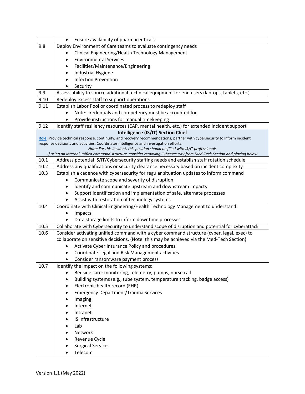|              | Ensure availability of pharmaceuticals                                                                                                                                                                              |  |
|--------------|---------------------------------------------------------------------------------------------------------------------------------------------------------------------------------------------------------------------|--|
| 9.8          | Deploy Environment of Care teams to evaluate contingency needs                                                                                                                                                      |  |
|              | Clinical Engineering/Health Technology Management                                                                                                                                                                   |  |
|              | <b>Environmental Services</b>                                                                                                                                                                                       |  |
|              | Facilities/Maintenance/Engineering<br>٠                                                                                                                                                                             |  |
|              | Industrial Hygiene<br>٠                                                                                                                                                                                             |  |
|              | <b>Infection Prevention</b><br>$\bullet$                                                                                                                                                                            |  |
|              | Security                                                                                                                                                                                                            |  |
| 9.9          | Assess ability to source additional technical equipment for end users (laptops, tablets, etc.)                                                                                                                      |  |
| 9.10         | Redeploy excess staff to support operations                                                                                                                                                                         |  |
| 9.11         | Establish Labor Pool or coordinated process to redeploy staff                                                                                                                                                       |  |
|              | Note: credentials and competency must be accounted for                                                                                                                                                              |  |
|              | Provide instructions for manual timekeeping                                                                                                                                                                         |  |
| 9.12         | Identify staff resiliency resources (EAP, mental health, etc.) for extended incident support                                                                                                                        |  |
|              | Intelligence (IS/IT) Section Chief                                                                                                                                                                                  |  |
|              | Role: Provide technical response, continuity, and recovery recommendations; partner with cybersecurity to inform incident<br>response decisions and activities. Coordinates intelligence and investigation efforts. |  |
|              | Note: For this incident, this position should be filled with IS/IT professionals                                                                                                                                    |  |
|              | If using an internal unified command structure, consider removing Cybersecurity from Med-Tech Section and placing below                                                                                             |  |
| 10.1         | Address potential IS/IT/Cybersecurity staffing needs and establish staff rotation schedule                                                                                                                          |  |
| 10.2         | Address any qualifications or security clearance necessary based on incident complexity                                                                                                                             |  |
| 10.3         | Establish a cadence with cybersecurity for regular situation updates to inform command                                                                                                                              |  |
|              | Communicate scope and severity of disruption                                                                                                                                                                        |  |
|              | Identify and communicate upstream and downstream impacts<br>٠                                                                                                                                                       |  |
|              | Support identification and implementation of safe, alternate processes<br>٠                                                                                                                                         |  |
|              | Assist with restoration of technology systems                                                                                                                                                                       |  |
| 10.4         | Coordinate with Clinical Engineering/Health Technology Management to understand:                                                                                                                                    |  |
|              | Impacts                                                                                                                                                                                                             |  |
|              | Data storage limits to inform downtime processes                                                                                                                                                                    |  |
| 10.5<br>10.6 | Collaborate with Cybersecurity to understand scope of disruption and potential for cyberattack                                                                                                                      |  |
|              | Consider activating unified command with a cyber command structure (cyber, legal, exec) to<br>collaborate on sensitive decisions. (Note: this may be achieved via the Med-Tech Section)                             |  |
|              | Activate Cyber Insurance Policy and procedures                                                                                                                                                                      |  |
|              | Coordinate Legal and Risk Management activities<br>٠                                                                                                                                                                |  |
|              | Consider ransomware payment process                                                                                                                                                                                 |  |
| 10.7         | Identify the impact on the following systems:                                                                                                                                                                       |  |
|              | Bedside care: monitoring, telemetry, pumps, nurse call                                                                                                                                                              |  |
|              | Building systems (e.g., tube system, temperature tracking, badge access)                                                                                                                                            |  |
|              | Electronic health record (EHR)<br>$\bullet$                                                                                                                                                                         |  |
|              | <b>Emergency Department/Trauma Services</b>                                                                                                                                                                         |  |
|              | Imaging                                                                                                                                                                                                             |  |
|              | Internet                                                                                                                                                                                                            |  |
|              | Intranet                                                                                                                                                                                                            |  |
|              | IS Infrastructure                                                                                                                                                                                                   |  |
|              | Lab                                                                                                                                                                                                                 |  |
|              | Network                                                                                                                                                                                                             |  |
|              | Revenue Cycle                                                                                                                                                                                                       |  |
|              | <b>Surgical Services</b>                                                                                                                                                                                            |  |
|              | Telecom                                                                                                                                                                                                             |  |
|              |                                                                                                                                                                                                                     |  |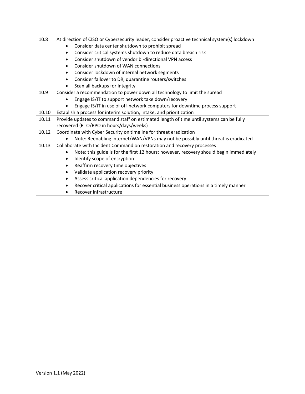| 10.8  | At direction of CISO or Cybersecurity leader, consider proactive technical system(s) lockdown |  |
|-------|-----------------------------------------------------------------------------------------------|--|
|       | Consider data center shutdown to prohibit spread                                              |  |
|       | Consider critical systems shutdown to reduce data breach risk<br>$\bullet$                    |  |
|       | Consider shutdown of vendor bi-directional VPN access                                         |  |
|       | Consider shutdown of WAN connections<br>$\bullet$                                             |  |
|       | Consider lockdown of internal network segments<br>$\bullet$                                   |  |
|       | Consider failover to DR, quarantine routers/switches<br>$\bullet$                             |  |
|       | Scan all backups for integrity<br>$\bullet$                                                   |  |
| 10.9  | Consider a recommendation to power down all technology to limit the spread                    |  |
|       | Engage IS/IT to support network take down/recovery                                            |  |
|       | Engage IS/IT in use of off-network computers for downtime process support                     |  |
| 10.10 | Establish a process for interim solution, intake, and prioritization                          |  |
| 10.11 | Provide updates to command staff on estimated length of time until systems can be fully       |  |
|       | recovered (RTO/RPO in hours/days/weeks)                                                       |  |
| 10.12 | Coordinate with Cyber Security on timeline for threat eradication                             |  |
|       | Note: Reenabling internet/WAN/VPNs may not be possibly until threat is eradicated             |  |
| 10.13 | Collaborate with Incident Command on restoration and recovery processes                       |  |
|       | Note: this guide is for the first 12 hours; however, recovery should begin immediately        |  |
|       | Identify scope of encryption<br>$\bullet$                                                     |  |
|       | Reaffirm recovery time objectives<br>$\bullet$                                                |  |
|       | Validate application recovery priority<br>$\bullet$                                           |  |
|       | Assess critical application dependencies for recovery                                         |  |
|       | Recover critical applications for essential business operations in a timely manner            |  |
|       | Recover infrastructure                                                                        |  |